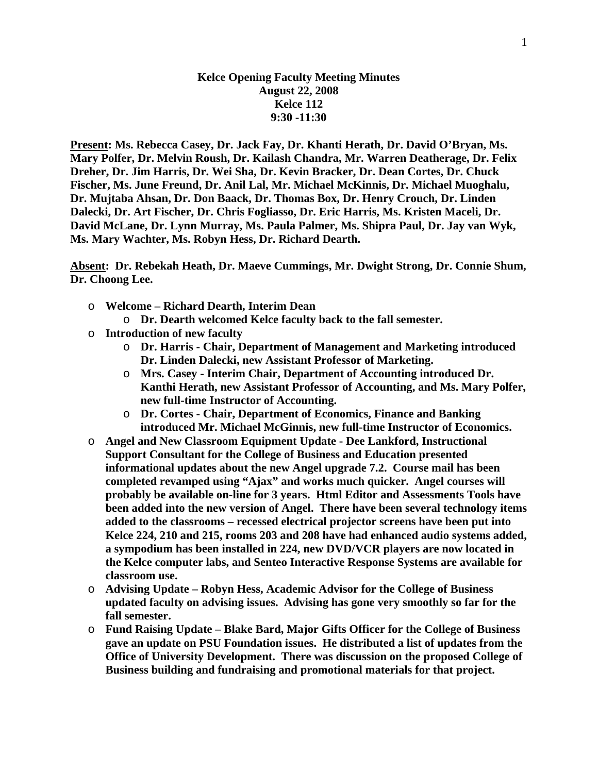## **Kelce Opening Faculty Meeting Minutes August 22, 2008 Kelce 112 9:30 -11:30**

**Present: Ms. Rebecca Casey, Dr. Jack Fay, Dr. Khanti Herath, Dr. David O'Bryan, Ms. Mary Polfer, Dr. Melvin Roush, Dr. Kailash Chandra, Mr. Warren Deatherage, Dr. Felix Dreher, Dr. Jim Harris, Dr. Wei Sha, Dr. Kevin Bracker, Dr. Dean Cortes, Dr. Chuck Fischer, Ms. June Freund, Dr. Anil Lal, Mr. Michael McKinnis, Dr. Michael Muoghalu, Dr. Mujtaba Ahsan, Dr. Don Baack, Dr. Thomas Box, Dr. Henry Crouch, Dr. Linden Dalecki, Dr. Art Fischer, Dr. Chris Fogliasso, Dr. Eric Harris, Ms. Kristen Maceli, Dr. David McLane, Dr. Lynn Murray, Ms. Paula Palmer, Ms. Shipra Paul, Dr. Jay van Wyk, Ms. Mary Wachter, Ms. Robyn Hess, Dr. Richard Dearth.** 

**Absent: Dr. Rebekah Heath, Dr. Maeve Cummings, Mr. Dwight Strong, Dr. Connie Shum, Dr. Choong Lee.** 

- o **Welcome Richard Dearth, Interim Dean** 
	- o **Dr. Dearth welcomed Kelce faculty back to the fall semester.**
- o **Introduction of new faculty** 
	- o **Dr. Harris Chair, Department of Management and Marketing introduced Dr. Linden Dalecki, new Assistant Professor of Marketing.**
	- o **Mrs. Casey Interim Chair, Department of Accounting introduced Dr. Kanthi Herath, new Assistant Professor of Accounting, and Ms. Mary Polfer, new full-time Instructor of Accounting.**
	- o **Dr. Cortes Chair, Department of Economics, Finance and Banking introduced Mr. Michael McGinnis, new full-time Instructor of Economics.**
- o **Angel and New Classroom Equipment Update Dee Lankford, Instructional Support Consultant for the College of Business and Education presented informational updates about the new Angel upgrade 7.2. Course mail has been completed revamped using "Ajax" and works much quicker. Angel courses will probably be available on-line for 3 years. Html Editor and Assessments Tools have been added into the new version of Angel. There have been several technology items added to the classrooms – recessed electrical projector screens have been put into Kelce 224, 210 and 215, rooms 203 and 208 have had enhanced audio systems added, a sympodium has been installed in 224, new DVD/VCR players are now located in the Kelce computer labs, and Senteo Interactive Response Systems are available for classroom use.**
- o **Advising Update Robyn Hess, Academic Advisor for the College of Business updated faculty on advising issues. Advising has gone very smoothly so far for the fall semester.**
- o **Fund Raising Update Blake Bard, Major Gifts Officer for the College of Business gave an update on PSU Foundation issues. He distributed a list of updates from the Office of University Development. There was discussion on the proposed College of Business building and fundraising and promotional materials for that project.**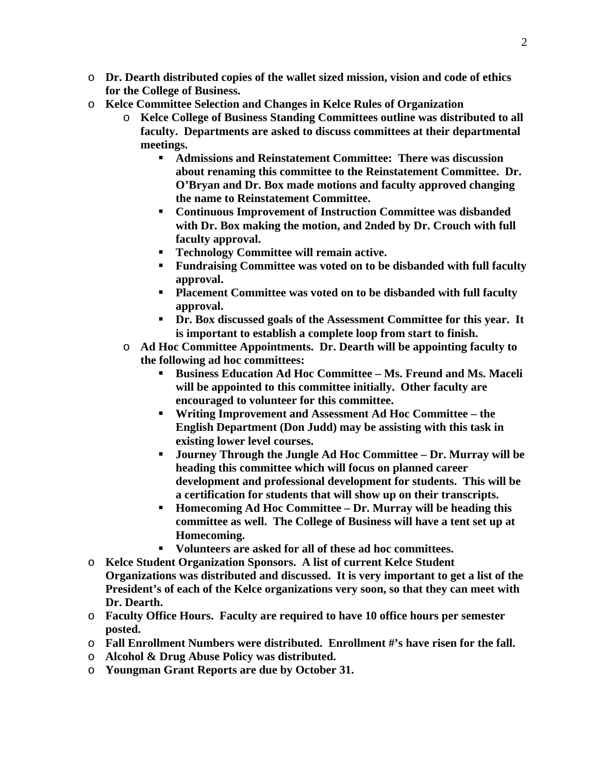- o **Dr. Dearth distributed copies of the wallet sized mission, vision and code of ethics for the College of Business.**
- o **Kelce Committee Selection and Changes in Kelce Rules of Organization** 
	- o **Kelce College of Business Standing Committees outline was distributed to all faculty. Departments are asked to discuss committees at their departmental meetings.** 
		- **Admissions and Reinstatement Committee: There was discussion about renaming this committee to the Reinstatement Committee. Dr. O'Bryan and Dr. Box made motions and faculty approved changing the name to Reinstatement Committee.**
		- **Continuous Improvement of Instruction Committee was disbanded with Dr. Box making the motion, and 2nded by Dr. Crouch with full faculty approval.**
		- **Technology Committee will remain active.**
		- **Fundraising Committee was voted on to be disbanded with full faculty approval.**
		- **Placement Committee was voted on to be disbanded with full faculty approval.**
		- **Dr. Box discussed goals of the Assessment Committee for this year. It is important to establish a complete loop from start to finish.**
	- o **Ad Hoc Committee Appointments. Dr. Dearth will be appointing faculty to the following ad hoc committees:** 
		- **Business Education Ad Hoc Committee Ms. Freund and Ms. Maceli will be appointed to this committee initially. Other faculty are encouraged to volunteer for this committee.**
		- **Writing Improvement and Assessment Ad Hoc Committee the English Department (Don Judd) may be assisting with this task in existing lower level courses.**
		- **Journey Through the Jungle Ad Hoc Committee Dr. Murray will be heading this committee which will focus on planned career development and professional development for students. This will be a certification for students that will show up on their transcripts.**
		- **Homecoming Ad Hoc Committee Dr. Murray will be heading this committee as well. The College of Business will have a tent set up at Homecoming.**
		- **Volunteers are asked for all of these ad hoc committees.**
- o **Kelce Student Organization Sponsors. A list of current Kelce Student Organizations was distributed and discussed. It is very important to get a list of the President's of each of the Kelce organizations very soon, so that they can meet with Dr. Dearth.**
- o **Faculty Office Hours. Faculty are required to have 10 office hours per semester posted.**
- o **Fall Enrollment Numbers were distributed. Enrollment #'s have risen for the fall.**
- o **Alcohol & Drug Abuse Policy was distributed.**
- o **Youngman Grant Reports are due by October 31.**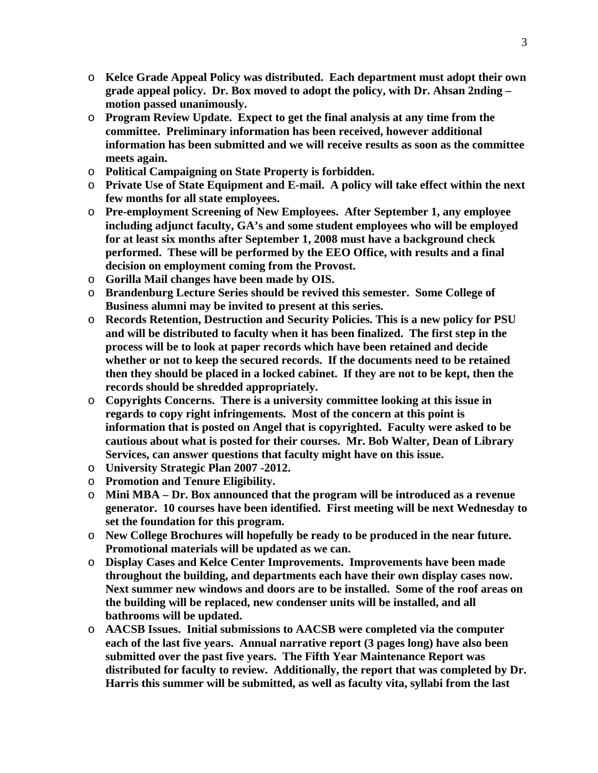- o **Kelce Grade Appeal Policy was distributed. Each department must adopt their own grade appeal policy. Dr. Box moved to adopt the policy, with Dr. Ahsan 2nding – motion passed unanimously.**
- o **Program Review Update. Expect to get the final analysis at any time from the committee. Preliminary information has been received, however additional information has been submitted and we will receive results as soon as the committee meets again.**
- o **Political Campaigning on State Property is forbidden.**
- o **Private Use of State Equipment and E-mail. A policy will take effect within the next few months for all state employees.**
- o **Pre-employment Screening of New Employees. After September 1, any employee including adjunct faculty, GA's and some student employees who will be employed for at least six months after September 1, 2008 must have a background check performed. These will be performed by the EEO Office, with results and a final decision on employment coming from the Provost.**
- o **Gorilla Mail changes have been made by OIS.**
- o **Brandenburg Lecture Series should be revived this semester. Some College of Business alumni may be invited to present at this series.**
- o **Records Retention, Destruction and Security Policies. This is a new policy for PSU and will be distributed to faculty when it has been finalized. The first step in the process will be to look at paper records which have been retained and decide whether or not to keep the secured records. If the documents need to be retained then they should be placed in a locked cabinet. If they are not to be kept, then the records should be shredded appropriately.**
- o **Copyrights Concerns. There is a university committee looking at this issue in regards to copy right infringements. Most of the concern at this point is information that is posted on Angel that is copyrighted. Faculty were asked to be cautious about what is posted for their courses. Mr. Bob Walter, Dean of Library Services, can answer questions that faculty might have on this issue.**
- o **University Strategic Plan 2007 -2012.**
- o **Promotion and Tenure Eligibility.**
- o **Mini MBA Dr. Box announced that the program will be introduced as a revenue generator. 10 courses have been identified. First meeting will be next Wednesday to set the foundation for this program.**
- o **New College Brochures will hopefully be ready to be produced in the near future. Promotional materials will be updated as we can.**
- o **Display Cases and Kelce Center Improvements. Improvements have been made throughout the building, and departments each have their own display cases now. Next summer new windows and doors are to be installed. Some of the roof areas on the building will be replaced, new condenser units will be installed, and all bathrooms will be updated.**
- o **AACSB Issues. Initial submissions to AACSB were completed via the computer each of the last five years. Annual narrative report (3 pages long) have also been submitted over the past five years. The Fifth Year Maintenance Report was distributed for faculty to review. Additionally, the report that was completed by Dr. Harris this summer will be submitted, as well as faculty vita, syllabi from the last**